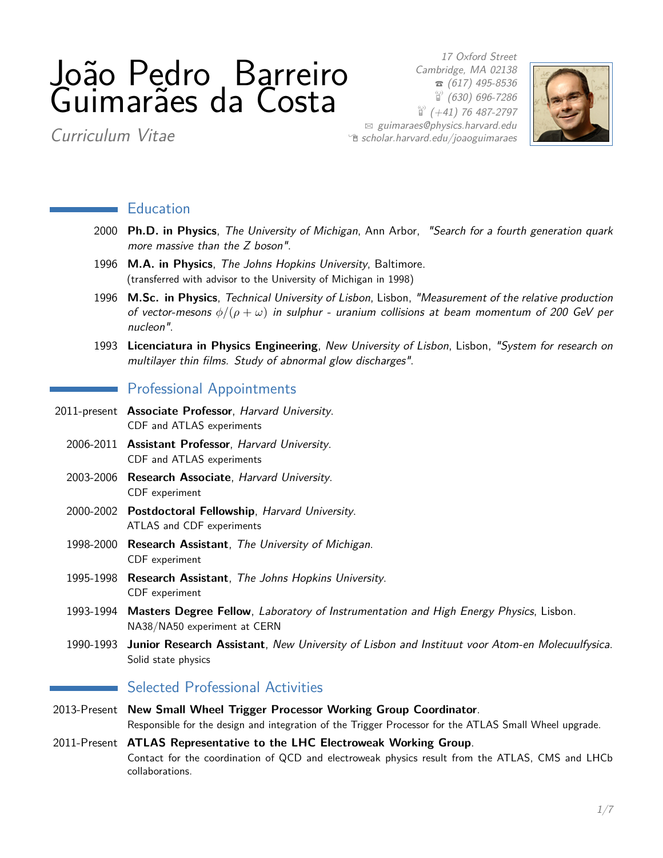# João Pedro Barreiro Guimarães da Costa

17 Oxford Street Cambridge, MA 02138  $\sigma$  (617) 495-8536  $\binom{10}{1}$  (630) 696-7286  $\binom{69}{4}$  (+41) 76 487-2797  $\boxtimes$  [guimaraes@physics.harvard.edu](mailto:guimaraes@physics.harvard.edu)  $\hat{e}$  [scholar.harvard.edu/joaoguimaraes](http://scholar.harvard.edu/joaoguimaraes)



Curriculum Vitae

#### **Education**

- 2000 **Ph.D. in Physics**, The University of Michigan, Ann Arbor, "Search for a fourth generation quark more massive than the Z boson".
- 1996 **M.A. in Physics**, The Johns Hopkins University, Baltimore. (transferred with advisor to the University of Michigan in 1998)
- 1996 **M.Sc. in Physics**, Technical University of Lisbon, Lisbon, "Measurement of the relative production of vector-mesons *φ/*(*ρ* + *ω*) in sulphur - uranium collisions at beam momentum of 200 GeV per nucleon".
- 1993 **Licenciatura in Physics Engineering**, New University of Lisbon, Lisbon, "System for research on multilayer thin films. Study of abnormal glow discharges".

#### **Professional Appointments**

- 2011-present **Associate Professor**, Harvard University. CDF and ATLAS experiments
	- 2006-2011 **Assistant Professor**, Harvard University. CDF and ATLAS experiments
	- 2003-2006 **Research Associate**, Harvard University. CDF experiment
	- 2000-2002 **Postdoctoral Fellowship**, Harvard University. ATLAS and CDF experiments
	- 1998-2000 **Research Assistant**, The University of Michigan. CDF experiment
	- 1995-1998 **Research Assistant**, The Johns Hopkins University. CDF experiment
	- 1993-1994 **Masters Degree Fellow**, Laboratory of Instrumentation and High Energy Physics, Lisbon. NA38/NA50 experiment at CERN
	- 1990-1993 **Junior Research Assistant**, New University of Lisbon and Instituut voor Atom-en Molecuulfysica. Solid state physics

## Selected Professional Activities

- 2013-Present **New Small Wheel Trigger Processor Working Group Coordinator**. Responsible for the design and integration of the Trigger Processor for the ATLAS Small Wheel upgrade.
- 2011-Present **ATLAS Representative to the LHC Electroweak Working Group**. Contact for the coordination of QCD and electroweak physics result from the ATLAS, CMS and LHCb collaborations.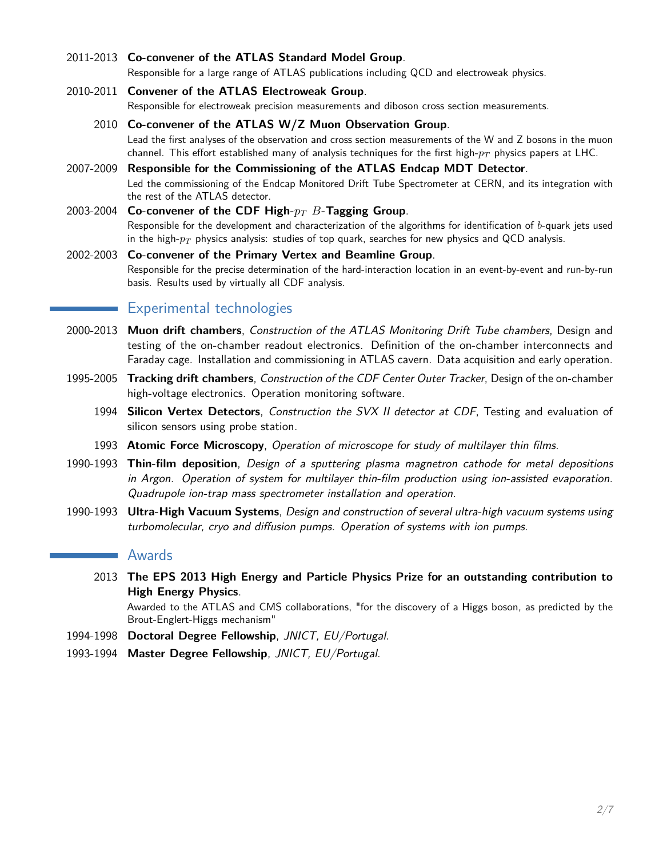#### 2011-2013 **Co-convener of the ATLAS Standard Model Group**.

Responsible for a large range of ATLAS publications including QCD and electroweak physics.

#### 2010-2011 **Convener of the ATLAS Electroweak Group**.

Responsible for electroweak precision measurements and diboson cross section measurements.

- 2010 **Co-convener of the ATLAS W/Z Muon Observation Group**. Lead the first analyses of the observation and cross section measurements of the W and Z bosons in the muon channel. This effort established many of analysis techniques for the first high-*p<sup>T</sup>* physics papers at LHC.
- 2007-2009 **Responsible for the Commissioning of the ATLAS Endcap MDT Detector**. Led the commissioning of the Endcap Monitored Drift Tube Spectrometer at CERN, and its integration with the rest of the ATLAS detector.
- 2003-2004 **Co-convener of the CDF High-***p<sup>T</sup> B***-Tagging Group**. Responsible for the development and characterization of the algorithms for identification of *b*-quark jets used in the high-*p<sup>T</sup>* physics analysis: studies of top quark, searches for new physics and QCD analysis.
- 2002-2003 **Co-convener of the Primary Vertex and Beamline Group**. Responsible for the precise determination of the hard-interaction location in an event-by-event and run-by-run basis. Results used by virtually all CDF analysis.

## Experimental technologies

- 2000-2013 **Muon drift chambers**, Construction of the ATLAS Monitoring Drift Tube chambers, Design and testing of the on-chamber readout electronics. Definition of the on-chamber interconnects and Faraday cage. Installation and commissioning in ATLAS cavern. Data acquisition and early operation.
- 1995-2005 **Tracking drift chambers**, Construction of the CDF Center Outer Tracker, Design of the on-chamber high-voltage electronics. Operation monitoring software.
	- 1994 **Silicon Vertex Detectors**, Construction the SVX II detector at CDF, Testing and evaluation of silicon sensors using probe station.
	- 1993 **Atomic Force Microscopy**, Operation of microscope for study of multilayer thin films.
- 1990-1993 **Thin-film deposition**, Design of a sputtering plasma magnetron cathode for metal depositions in Argon. Operation of system for multilayer thin-film production using ion-assisted evaporation. Quadrupole ion-trap mass spectrometer installation and operation.
- 1990-1993 **Ultra-High Vacuum Systems**, Design and construction of several ultra-high vacuum systems using turbomolecular, cryo and diffusion pumps. Operation of systems with ion pumps.

#### Awards

2013 **The EPS 2013 High Energy and Particle Physics Prize for an outstanding contribution to High Energy Physics**.

Awarded to the ATLAS and CMS collaborations, "for the discovery of a Higgs boson, as predicted by the Brout-Englert-Higgs mechanism"

- 1994-1998 **Doctoral Degree Fellowship**, JNICT, EU/Portugal.
- 1993-1994 **Master Degree Fellowship**, JNICT, EU/Portugal.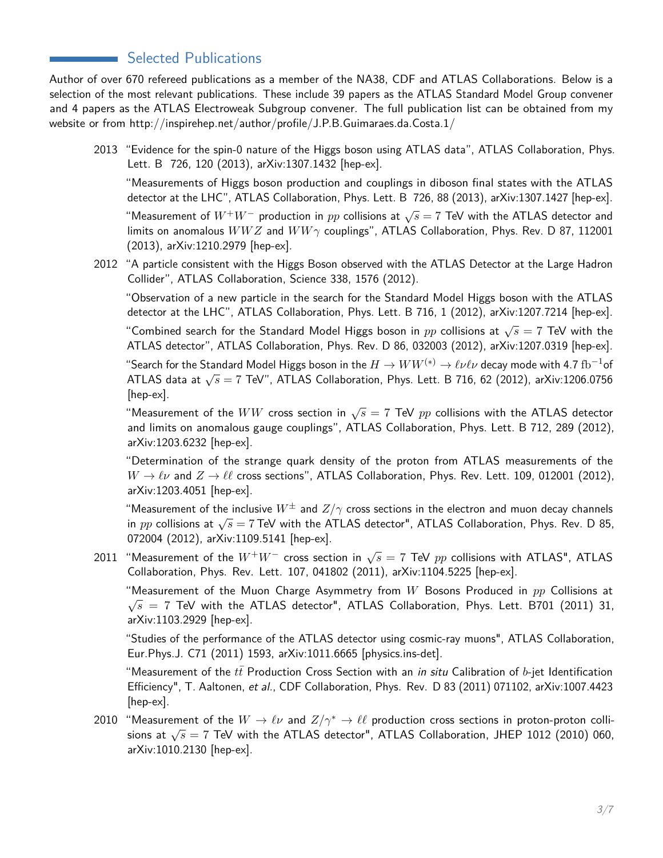# Selected Publications

Author of over 670 refereed publications as a member of the NA38, CDF and ATLAS Collaborations. Below is a selection of the most relevant publications. These include 39 papers as the ATLAS Standard Model Group convener and 4 papers as the ATLAS Electroweak Subgroup convener. The full publication list can be obtained from my website or from http://inspirehep.net/author/profile/J.P.B.Guimaraes.da.Costa.1/

2013 "Evidence for the spin-0 nature of the Higgs boson using ATLAS data", ATLAS Collaboration, Phys. Lett. B 726, 120 (2013), arXiv:1307.1432 [hep-ex].

"Measurements of Higgs boson production and couplings in diboson final states with the ATLAS detector at the LHC", ATLAS Collaboration, Phys. Lett. B 726, 88 (2013), arXiv:1307.1427 [hep-ex].

"Measurement of *<sup>W</sup>*+*W*<sup>−</sup> production in *pp* collisions at <sup>√</sup> *s* = 7 TeV with the ATLAS detector and limits on anomalous *WW Z* and *WW γ* couplings", ATLAS Collaboration, Phys. Rev. D 87, 112001 (2013), arXiv:1210.2979 [hep-ex].

2012 "A particle consistent with the Higgs Boson observed with the ATLAS Detector at the Large Hadron Collider", ATLAS Collaboration, Science 338, 1576 (2012).

"Observation of a new particle in the search for the Standard Model Higgs boson with the ATLAS detector at the LHC", ATLAS Collaboration, Phys. Lett. B 716, 1 (2012), arXiv:1207.7214 [hep-ex].

"Combined search for the Standard Model Higgs boson in *pp* collisions at <sup>√</sup> *s* = 7 TeV with the ATLAS detector", ATLAS Collaboration, Phys. Rev. D 86, 032003 (2012), arXiv:1207.0319 [hep-ex].

"Search for the Standard Model Higgs boson in the  $H\to WW^{(*)}\to\ell\nu\ell\nu$  decay mode with 4.7  ${\rm fb}^{-1}$ of Search for the Standard Moder riggs boson in the  $H \to W W \to e \nu \nu$  decay mode with 4.7 B or ATLAS data at  $\sqrt{s} = 7$  TeV", ATLAS Collaboration, Phys. Lett. B 716, 62 (2012), arXiv:1206.0756 [hep-ex].

 $\cdot$  .  $\cdot$  .  $\cdot$ and limits on anomalous gauge couplings", ATLAS Collaboration, Phys. Lett. B 712, 289 (2012), arXiv:1203.6232 [hep-ex].

"Determination of the strange quark density of the proton from ATLAS measurements of the  $W \to \ell \nu$  and  $Z \to \ell \ell$  cross sections", ATLAS Collaboration, Phys. Rev. Lett. 109, 012001 (2012), arXiv:1203.4051 [hep-ex].

"Measurement of the inclusive  $W^{\pm}$  and  $Z/\gamma$  cross sections in the electron and muon decay channels For easurement of the inclusive *W* and  $Z/T$  cross sections in the electron and muon decay channels in *pp* collisions at  $\sqrt{s} = 7$  TeV with the ATLAS detector", ATLAS Collaboration, Phys. Rev. D 85, 072004 (2012), arXiv:1109.5141 [hep-ex].

 $2011$  "Measurement of the  $W^+W^-$  cross section in  $\sqrt{s}=7$  TeV  $pp$  collisions with ATLAS", ATLAS Collaboration, Phys. Rev. Lett. 107, 041802 (2011), arXiv:1104.5225 [hep-ex].

"Measurement of the Muon Charge Asymmetry from *W* Bosons Produced in *pp* Collisions at  $\sqrt{s}$  = 7 TeV with the ATLAS detector", ATLAS Collaboration, Phys. Lett. B701 (2011) 31, arXiv:1103.2929 [hep-ex].

"Studies of the performance of the ATLAS detector using cosmic-ray muons", ATLAS Collaboration, Eur.Phys.J. C71 (2011) 1593, arXiv:1011.6665 [physics.ins-det].

"Measurement of the  $t\bar{t}$  Production Cross Section with an *in situ* Calibration of  $b$ -jet Identification Efficiency", T. Aaltonen, et al., CDF Collaboration, Phys. Rev. D 83 (2011) 071102, arXiv:1007.4423 [hep-ex].

2010 "Measurement of the  $W \to \ell \nu$  and  $Z/\gamma^* \to \ell \ell$  production cross sections in proton-proton colli-Solution at  $\sqrt{s} = 7$  TeV with the ATLAS detector", ATLAS Collaboration, JHEP 1012 (2010) 060, arXiv:1010.2130 [hep-ex].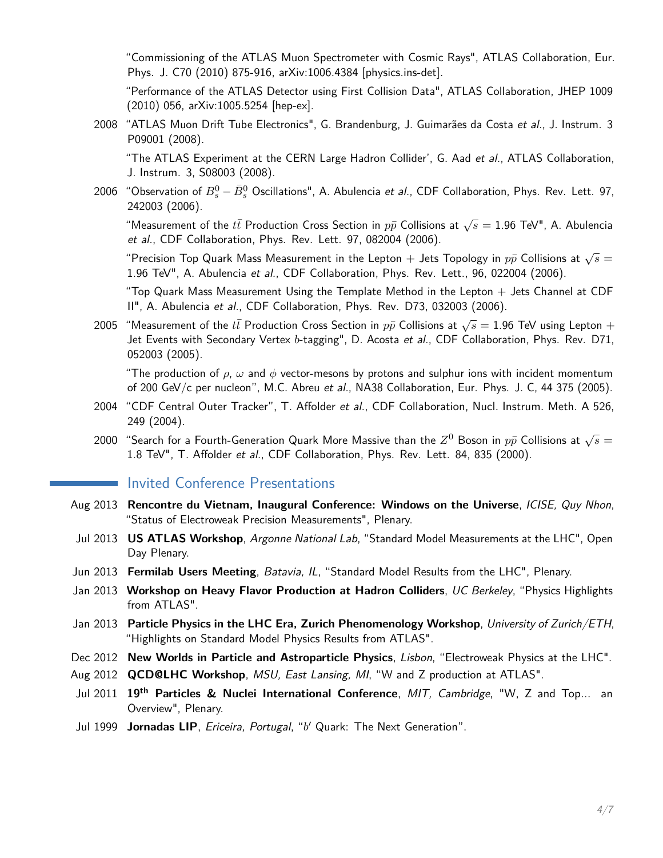"Commissioning of the ATLAS Muon Spectrometer with Cosmic Rays", ATLAS Collaboration, Eur. Phys. J. C70 (2010) 875-916, arXiv:1006.4384 [physics.ins-det].

"Performance of the ATLAS Detector using First Collision Data", ATLAS Collaboration, JHEP 1009 (2010) 056, arXiv:1005.5254 [hep-ex].

2008 "ATLAS Muon Drift Tube Electronics", G. Brandenburg, J. Guimarães da Costa et al., J. Instrum. 3 P09001 (2008).

"The ATLAS Experiment at the CERN Large Hadron Collider', G. Aad et al., ATLAS Collaboration, J. Instrum. 3, S08003 (2008).

2006 "Observation of  $B^0_s - \bar{B}^0_s$  Oscillations", A. Abulencia *et al.*, CDF Collaboration, Phys. Rev. Lett. 97, 242003 (2006).

"Measurement of the  $t\bar{t}$  Production Cross Section in  $p\bar{p}$  Collisions at  $\sqrt{s}=1.96$  TeV", A. Abulencia et al., CDF Collaboration, Phys. Rev. Lett. 97, 082004 (2006).

 $\overline{\phantom{a}}$  "Precision Top Quark Mass Measurement in the Lepton  $+$  Jets Topology in  $p\bar{p}$  Collisions at  $\sqrt{s}=$ 1.96 TeV", A. Abulencia et al., CDF Collaboration, Phys. Rev. Lett., 96, 022004 (2006).

"Top Quark Mass Measurement Using the Template Method in the Lepton  $+$  Jets Channel at CDF II", A. Abulencia et al., CDF Collaboration, Phys. Rev. D73, 032003 (2006).

2005 "Measurement of the  $t\bar{t}$  Production Cross Section in  $p\bar{p}$  Collisions at  $\sqrt{s}=1.96$  TeV using Lepton  $+$ Jet Events with Secondary Vertex *b*-tagging", D. Acosta et al., CDF Collaboration, Phys. Rev. D71, 052003 (2005).

"The production of  $\rho$ ,  $\omega$  and  $\phi$  vector-mesons by protons and sulphur ions with incident momentum of 200 GeV/c per nucleon", M.C. Abreu et al., NA38 Collaboration, Eur. Phys. J. C, 44 375 (2005).

- 2004 "CDF Central Outer Tracker", T. Affolder et al., CDF Collaboration, Nucl. Instrum. Meth. A 526, 249 (2004).
- 2000 "Search for a Fourth-Generation Quark More Massive than the  $Z^0$  Boson in  $p\bar p$  Collisions at  $\sqrt s=$ 1.8 TeV", T. Affolder et al., CDF Collaboration, Phys. Rev. Lett. 84, 835 (2000).

## **Invited Conference Presentations**

- Aug 2013 **Rencontre du Vietnam, Inaugural Conference: Windows on the Universe**, ICISE, Quy Nhon, "Status of Electroweak Precision Measurements", Plenary.
- Jul 2013 **US ATLAS Workshop**, Argonne National Lab, "Standard Model Measurements at the LHC", Open Day Plenary.
- Jun 2013 **Fermilab Users Meeting**, Batavia, IL, "Standard Model Results from the LHC", Plenary.
- Jan 2013 **Workshop on Heavy Flavor Production at Hadron Colliders**, UC Berkeley, "Physics Highlights from ATLAS".
- Jan 2013 **Particle Physics in the LHC Era, Zurich Phenomenology Workshop**, University of Zurich/ETH, "Highlights on Standard Model Physics Results from ATLAS".
- Dec 2012 **New Worlds in Particle and Astroparticle Physics**, Lisbon, "Electroweak Physics at the LHC".
- Aug 2012 **QCD@LHC Workshop**, MSU, East Lansing, MI, "W and Z production at ATLAS".
- Jul 2011 **19th Particles & Nuclei International Conference**, MIT, Cambridge, "W, Z and Top... an Overview", Plenary.
- Jul 1999 **Jornadas LIP**, Ericeira, Portugal, "*b* <sup>0</sup> Quark: The Next Generation".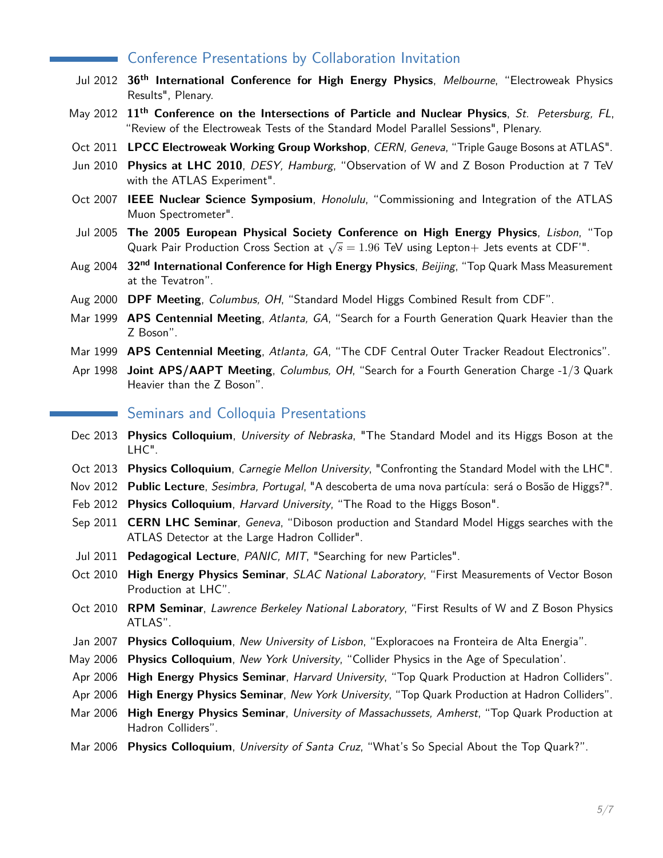## Conference Presentations by Collaboration Invitation

- Jul 2012 **36th International Conference for High Energy Physics**, Melbourne, "Electroweak Physics Results", Plenary.
- May 2012 **11th Conference on the Intersections of Particle and Nuclear Physics**, St. Petersburg, FL, "Review of the Electroweak Tests of the Standard Model Parallel Sessions", Plenary.
- Oct 2011 **LPCC Electroweak Working Group Workshop**, CERN, Geneva, "Triple Gauge Bosons at ATLAS".
- Jun 2010 **Physics at LHC 2010**, DESY, Hamburg, "Observation of W and Z Boson Production at 7 TeV with the ATLAS Experiment".
- Oct 2007 **IEEE Nuclear Science Symposium**, Honolulu, "Commissioning and Integration of the ATLAS Muon Spectrometer".
- Jul 2005 **The 2005 European Physical Society Conference on High Energy Physics**, Lisbon, "Top Quark Pair Production Cross Section at <sup>√</sup> *s* = 1*.*96 TeV using Lepton+ Jets events at CDF'".
- Aug 2004 **32nd International Conference for High Energy Physics**, Beijing, "Top Quark Mass Measurement at the Tevatron".
- Aug 2000 **DPF Meeting**, Columbus, OH, "Standard Model Higgs Combined Result from CDF".
- Mar 1999 **APS Centennial Meeting**, Atlanta, GA, "Search for a Fourth Generation Quark Heavier than the Z Boson".
- Mar 1999 **APS Centennial Meeting**, Atlanta, GA, "The CDF Central Outer Tracker Readout Electronics".
- Apr 1998 **Joint APS/AAPT Meeting**, Columbus, OH, "Search for a Fourth Generation Charge -1/3 Quark Heavier than the Z Boson".

#### Seminars and Colloquia Presentations

- Dec 2013 **Physics Colloquium**, University of Nebraska, "The Standard Model and its Higgs Boson at the LHC".
- Oct 2013 **Physics Colloquium**, Carnegie Mellon University, "Confronting the Standard Model with the LHC".
- Nov 2012 **Public Lecture**, Sesimbra, Portugal, "A descoberta de uma nova partícula: será o Bosão de Higgs?".
- Feb 2012 Physics Colloquium, Harvard University, "The Road to the Higgs Boson".
- Sep 2011 **CERN LHC Seminar**, Geneva, "Diboson production and Standard Model Higgs searches with the ATLAS Detector at the Large Hadron Collider".
- Jul 2011 **Pedagogical Lecture**, PANIC, MIT, "Searching for new Particles".
- Oct 2010 **High Energy Physics Seminar**, SLAC National Laboratory, "First Measurements of Vector Boson Production at LHC".
- Oct 2010 **RPM Seminar**, Lawrence Berkeley National Laboratory, "First Results of W and Z Boson Physics ATLAS".
- Jan 2007 **Physics Colloquium**, New University of Lisbon, "Exploracoes na Fronteira de Alta Energia".
- May 2006 **Physics Colloquium**, New York University, "Collider Physics in the Age of Speculation'.
- Apr 2006 **High Energy Physics Seminar**, Harvard University, "Top Quark Production at Hadron Colliders".
- Apr 2006 **High Energy Physics Seminar**, New York University, "Top Quark Production at Hadron Colliders".
- Mar 2006 **High Energy Physics Seminar**, University of Massachussets, Amherst, "Top Quark Production at Hadron Colliders".
- Mar 2006 **Physics Colloquium**, University of Santa Cruz, "What's So Special About the Top Quark?".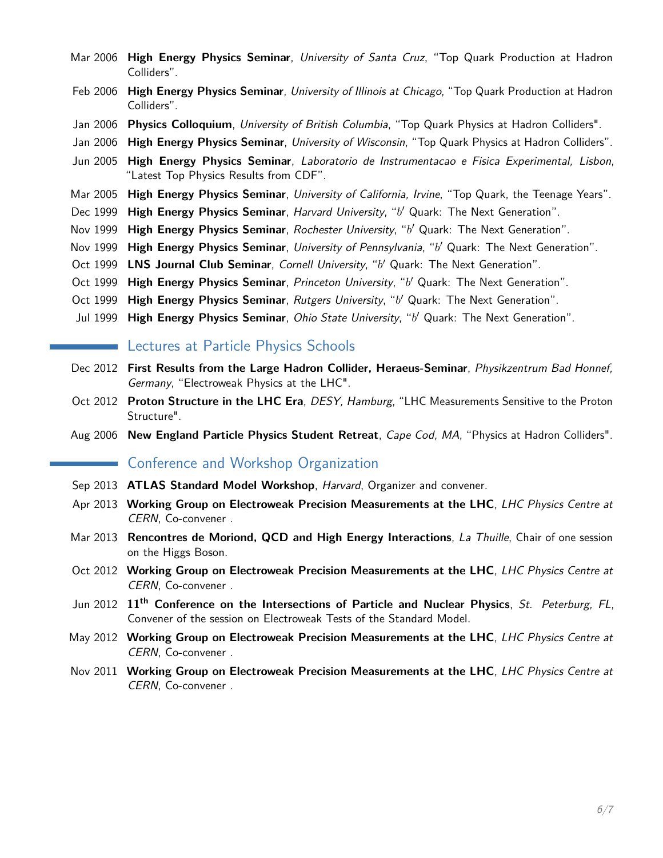- Mar 2006 **High Energy Physics Seminar**, University of Santa Cruz, "Top Quark Production at Hadron Colliders".
- Feb 2006 **High Energy Physics Seminar**, University of Illinois at Chicago, "Top Quark Production at Hadron Colliders".
- Jan 2006 **Physics Colloquium**, University of British Columbia, "Top Quark Physics at Hadron Colliders".
- Jan 2006 **High Energy Physics Seminar**, University of Wisconsin, "Top Quark Physics at Hadron Colliders".
- Jun 2005 **High Energy Physics Seminar**, Laboratorio de Instrumentacao e Fisica Experimental, Lisbon, "Latest Top Physics Results from CDF".
- Mar 2005 **High Energy Physics Seminar**, University of California, Irvine, "Top Quark, the Teenage Years".
- Dec 1999 High Energy Physics Seminar, Harvard University, "b' Quark: The Next Generation".
- Nov 1999 High Energy Physics Seminar, Rochester University, "b' Quark: The Next Generation".
- Nov 1999 High Energy Physics Seminar, University of Pennsylvania, "b' Quark: The Next Generation".
- Oct 1999 LNS Journal Club Seminar, Cornell University, "b' Quark: The Next Generation".
- Oct 1999 High Energy Physics Seminar, Princeton University, "b' Quark: The Next Generation".
- Oct 1999 High Energy Physics Seminar, Rutgers University, "b' Quark: The Next Generation".
- Jul 1999 High Energy Physics Seminar, Ohio State University, "b' Quark: The Next Generation".

#### **Lectures at Particle Physics Schools**

- Dec 2012 **First Results from the Large Hadron Collider, Heraeus-Seminar**, Physikzentrum Bad Honnef, Germany, "Electroweak Physics at the LHC".
- Oct 2012 **Proton Structure in the LHC Era**, DESY, Hamburg, "LHC Measurements Sensitive to the Proton Structure".
- Aug 2006 **New England Particle Physics Student Retreat**, Cape Cod, MA, "Physics at Hadron Colliders".

## Conference and Workshop Organization

- Sep 2013 **ATLAS Standard Model Workshop**, Harvard, Organizer and convener.
- Apr 2013 **Working Group on Electroweak Precision Measurements at the LHC**, LHC Physics Centre at CERN, Co-convener .
- Mar 2013 **Rencontres de Moriond, QCD and High Energy Interactions**, La Thuille, Chair of one session on the Higgs Boson.
- Oct 2012 **Working Group on Electroweak Precision Measurements at the LHC**, LHC Physics Centre at CERN, Co-convener .
- Jun 2012 **11th Conference on the Intersections of Particle and Nuclear Physics**, St. Peterburg, FL, Convener of the session on Electroweak Tests of the Standard Model.
- May 2012 **Working Group on Electroweak Precision Measurements at the LHC**, LHC Physics Centre at CERN, Co-convener .
- Nov 2011 **Working Group on Electroweak Precision Measurements at the LHC**, LHC Physics Centre at CERN, Co-convener .